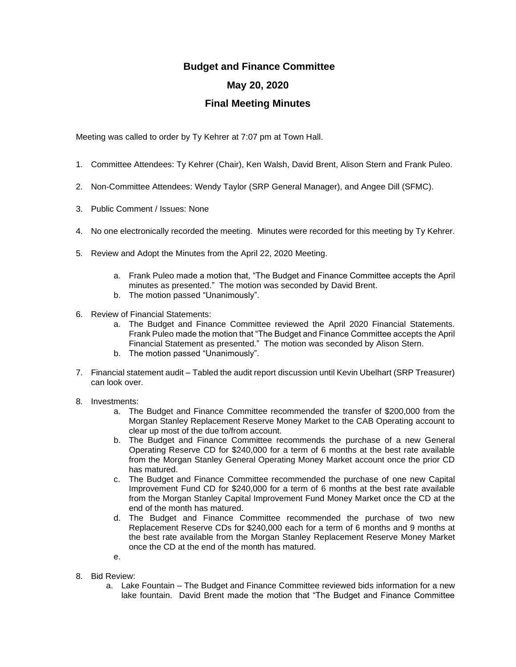## **Budget and Finance Committee May 20, 2020 Final Meeting Minutes**

Meeting was called to order by Ty Kehrer at 7:07 pm at Town Hall.

- 1. Committee Attendees: Ty Kehrer (Chair), Ken Walsh, David Brent, Alison Stern and Frank Puleo.
- 2. Non-Committee Attendees: Wendy Taylor (SRP General Manager), and Angee Dill (SFMC).
- 3. Public Comment / Issues: None
- 4. No one electronically recorded the meeting. Minutes were recorded for this meeting by Ty Kehrer.
- 5. Review and Adopt the Minutes from the April 22, 2020 Meeting.
	- a. Frank Puleo made a motion that, "The Budget and Finance Committee accepts the April minutes as presented." The motion was seconded by David Brent.
	- b. The motion passed "Unanimously".
- 6. Review of Financial Statements:
	- a. The Budget and Finance Committee reviewed the April 2020 Financial Statements. Frank Puleo made the motion that "The Budget and Finance Committee accepts the April Financial Statement as presented." The motion was seconded by Alison Stern.
	- b. The motion passed "Unanimously".
- 7. Financial statement audit Tabled the audit report discussion until Kevin Ubelhart (SRP Treasurer) can look over.
- 8. Investments:
	- a. The Budget and Finance Committee recommended the transfer of \$200,000 from the Morgan Stanley Replacement Reserve Money Market to the CAB Operating account to clear up most of the due to/from account.
	- b. The Budget and Finance Committee recommends the purchase of a new General Operating Reserve CD for \$240,000 for a term of 6 months at the best rate available from the Morgan Stanley General Operating Money Market account once the prior CD has matured.
	- c. The Budget and Finance Committee recommended the purchase of one new Capital Improvement Fund CD for \$240,000 for a term of 6 months at the best rate available from the Morgan Stanley Capital Improvement Fund Money Market once the CD at the end of the month has matured.
	- d. The Budget and Finance Committee recommended the purchase of two new Replacement Reserve CDs for \$240,000 each for a term of 6 months and 9 months at the best rate available from the Morgan Stanley Replacement Reserve Money Market once the CD at the end of the month has matured.
	- e.
- 8. Bid Review:
	- a. Lake Fountain The Budget and Finance Committee reviewed bids information for a new lake fountain. David Brent made the motion that "The Budget and Finance Committee